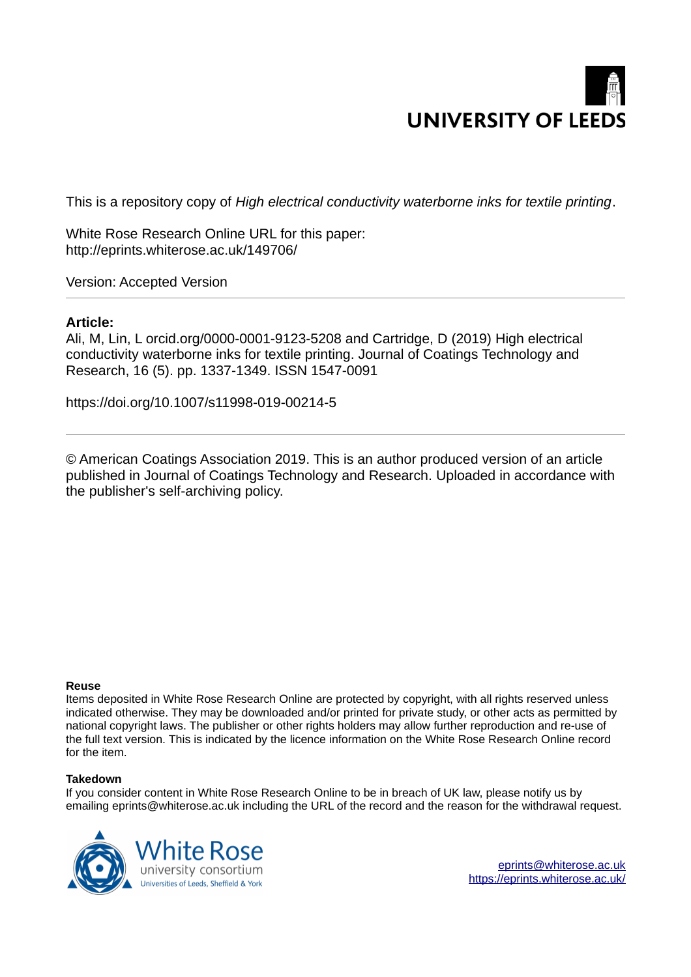# **UNIVERSITY OF LEEDS**

This is a repository copy of *High electrical conductivity waterborne inks for textile printing*.

White Rose Research Online URL for this paper: http://eprints.whiterose.ac.uk/149706/

Version: Accepted Version

## **Article:**

Ali, M, Lin, L orcid.org/0000-0001-9123-5208 and Cartridge, D (2019) High electrical conductivity waterborne inks for textile printing. Journal of Coatings Technology and Research, 16 (5). pp. 1337-1349. ISSN 1547-0091

https://doi.org/10.1007/s11998-019-00214-5

© American Coatings Association 2019. This is an author produced version of an article published in Journal of Coatings Technology and Research. Uploaded in accordance with the publisher's self-archiving policy.

#### **Reuse**

Items deposited in White Rose Research Online are protected by copyright, with all rights reserved unless indicated otherwise. They may be downloaded and/or printed for private study, or other acts as permitted by national copyright laws. The publisher or other rights holders may allow further reproduction and re-use of the full text version. This is indicated by the licence information on the White Rose Research Online record for the item.

#### **Takedown**

If you consider content in White Rose Research Online to be in breach of UK law, please notify us by emailing eprints@whiterose.ac.uk including the URL of the record and the reason for the withdrawal request.



[eprints@whiterose.ac.uk](mailto:eprints@whiterose.ac.uk) <https://eprints.whiterose.ac.uk/>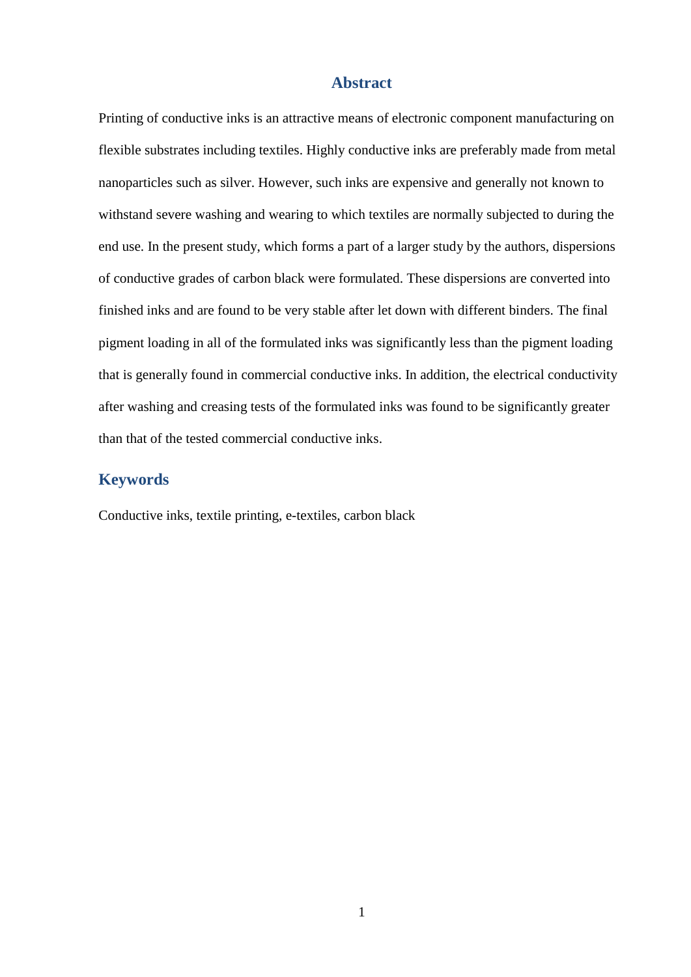## **Abstract**

Printing of conductive inks is an attractive means of electronic component manufacturing on flexible substrates including textiles. Highly conductive inks are preferably made from metal nanoparticles such as silver. However, such inks are expensive and generally not known to withstand severe washing and wearing to which textiles are normally subjected to during the end use. In the present study, which forms a part of a larger study by the authors, dispersions of conductive grades of carbon black were formulated. These dispersions are converted into finished inks and are found to be very stable after let down with different binders. The final pigment loading in all of the formulated inks was significantly less than the pigment loading that is generally found in commercial conductive inks. In addition, the electrical conductivity after washing and creasing tests of the formulated inks was found to be significantly greater than that of the tested commercial conductive inks.

# **Keywords**

Conductive inks, textile printing, e-textiles, carbon black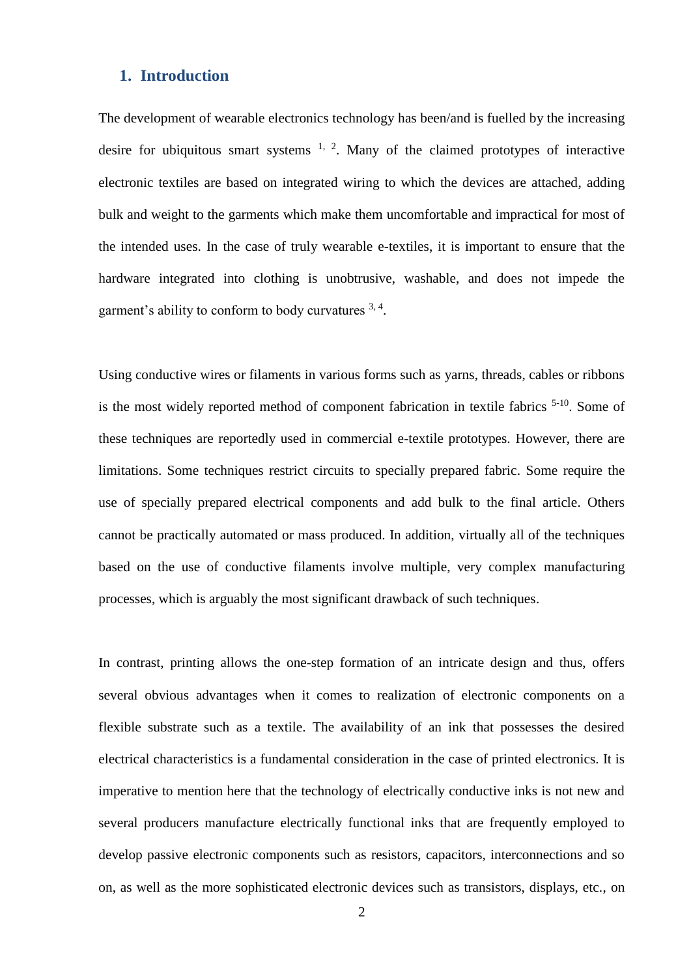## **1. Introduction**

The development of wearable electronics technology has been/and is fuelled by the increasing desire for ubiquitous smart systems  $1, 2$ . Many of the claimed prototypes of interactive electronic textiles are based on integrated wiring to which the devices are attached, adding bulk and weight to the garments which make them uncomfortable and impractical for most of the intended uses. In the case of truly wearable e-textiles, it is important to ensure that the hardware integrated into clothing is unobtrusive, washable, and does not impede the garment's ability to conform to body curvatures 3, 4.

Using conductive wires or filaments in various forms such as yarns, threads, cables or ribbons is the most widely reported method of component fabrication in textile fabrics 5-10. Some of these techniques are reportedly used in commercial e-textile prototypes. However, there are limitations. Some techniques restrict circuits to specially prepared fabric. Some require the use of specially prepared electrical components and add bulk to the final article. Others cannot be practically automated or mass produced. In addition, virtually all of the techniques based on the use of conductive filaments involve multiple, very complex manufacturing processes, which is arguably the most significant drawback of such techniques.

In contrast, printing allows the one-step formation of an intricate design and thus, offers several obvious advantages when it comes to realization of electronic components on a flexible substrate such as a textile. The availability of an ink that possesses the desired electrical characteristics is a fundamental consideration in the case of printed electronics. It is imperative to mention here that the technology of electrically conductive inks is not new and several producers manufacture electrically functional inks that are frequently employed to develop passive electronic components such as resistors, capacitors, interconnections and so on, as well as the more sophisticated electronic devices such as transistors, displays, etc., on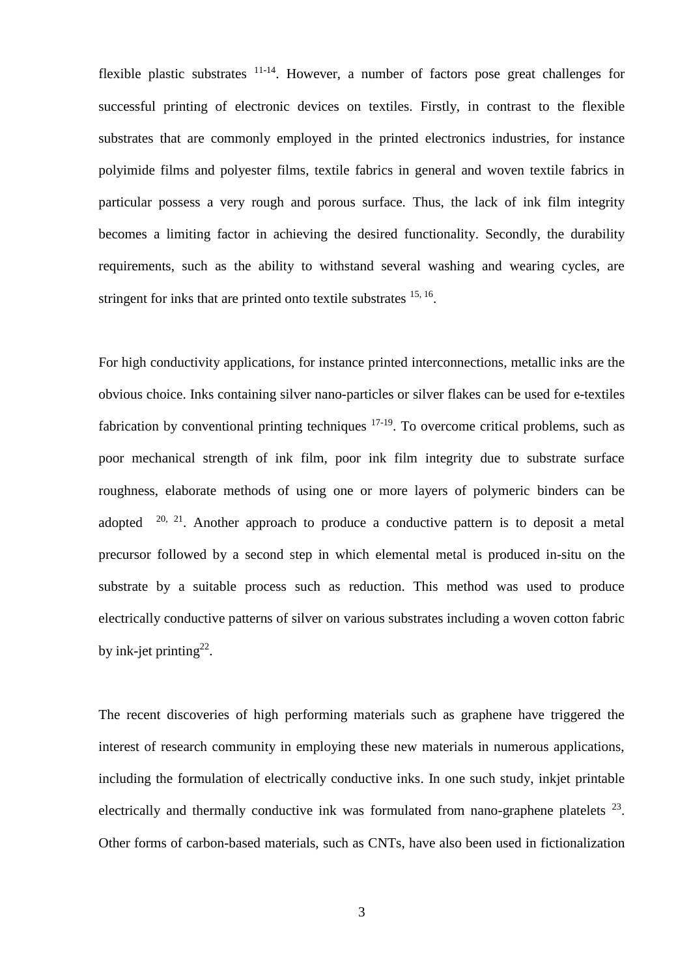flexible plastic substrates  $11-14$ . However, a number of factors pose great challenges for successful printing of electronic devices on textiles. Firstly, in contrast to the flexible substrates that are commonly employed in the printed electronics industries, for instance polyimide films and polyester films, textile fabrics in general and woven textile fabrics in particular possess a very rough and porous surface. Thus, the lack of ink film integrity becomes a limiting factor in achieving the desired functionality. Secondly, the durability requirements, such as the ability to withstand several washing and wearing cycles, are stringent for inks that are printed onto textile substrates <sup>15, 16</sup>.

For high conductivity applications, for instance printed interconnections, metallic inks are the obvious choice. Inks containing silver nano-particles or silver flakes can be used for e-textiles fabrication by conventional printing techniques  $17-19$ . To overcome critical problems, such as poor mechanical strength of ink film, poor ink film integrity due to substrate surface roughness, elaborate methods of using one or more layers of polymeric binders can be adopted  $20$ ,  $21$ . Another approach to produce a conductive pattern is to deposit a metal precursor followed by a second step in which elemental metal is produced in-situ on the substrate by a suitable process such as reduction. This method was used to produce electrically conductive patterns of silver on various substrates including a woven cotton fabric by ink-jet printing<sup>22</sup>.

The recent discoveries of high performing materials such as graphene have triggered the interest of research community in employing these new materials in numerous applications, including the formulation of electrically conductive inks. In one such study, inkjet printable electrically and thermally conductive ink was formulated from nano-graphene platelets  $23$ . Other forms of carbon-based materials, such as CNTs, have also been used in fictionalization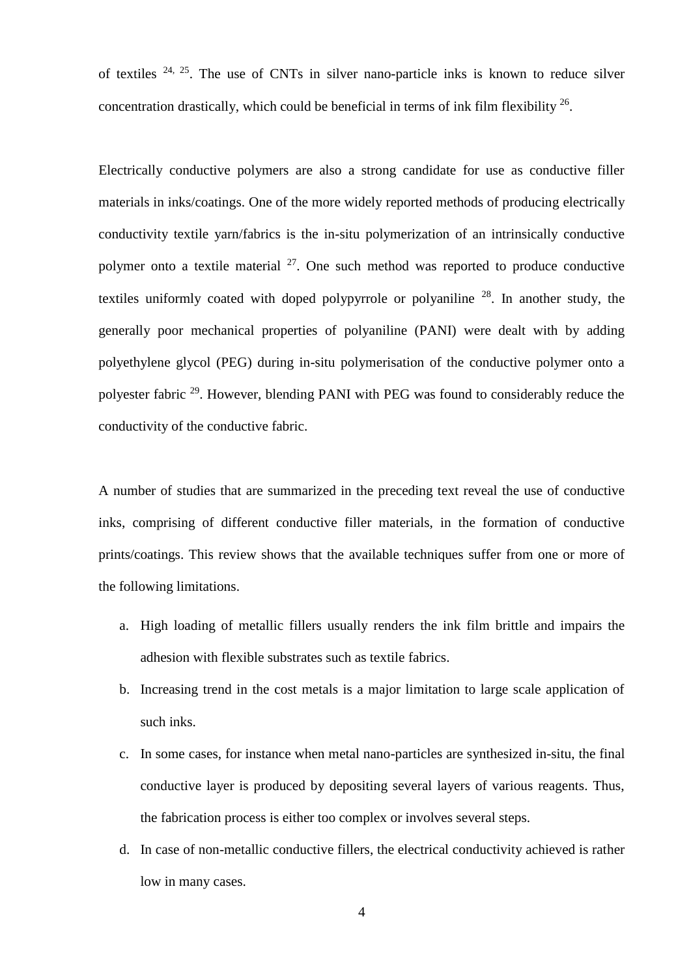of textiles  $24$ ,  $25$ . The use of CNTs in silver nano-particle inks is known to reduce silver concentration drastically, which could be beneficial in terms of ink film flexibility  $26$ .

Electrically conductive polymers are also a strong candidate for use as conductive filler materials in inks/coatings. One of the more widely reported methods of producing electrically conductivity textile yarn/fabrics is the in-situ polymerization of an intrinsically conductive polymer onto a textile material  $27$ . One such method was reported to produce conductive textiles uniformly coated with doped polypyrrole or polyaniline  $28$ . In another study, the generally poor mechanical properties of polyaniline (PANI) were dealt with by adding polyethylene glycol (PEG) during in-situ polymerisation of the conductive polymer onto a polyester fabric <sup>29</sup>. However, blending PANI with PEG was found to considerably reduce the conductivity of the conductive fabric.

A number of studies that are summarized in the preceding text reveal the use of conductive inks, comprising of different conductive filler materials, in the formation of conductive prints/coatings. This review shows that the available techniques suffer from one or more of the following limitations.

- a. High loading of metallic fillers usually renders the ink film brittle and impairs the adhesion with flexible substrates such as textile fabrics.
- b. Increasing trend in the cost metals is a major limitation to large scale application of such inks.
- c. In some cases, for instance when metal nano-particles are synthesized in-situ, the final conductive layer is produced by depositing several layers of various reagents. Thus, the fabrication process is either too complex or involves several steps.
- <span id="page-4-0"></span>d. In case of non-metallic conductive fillers, the electrical conductivity achieved is rather low in many cases.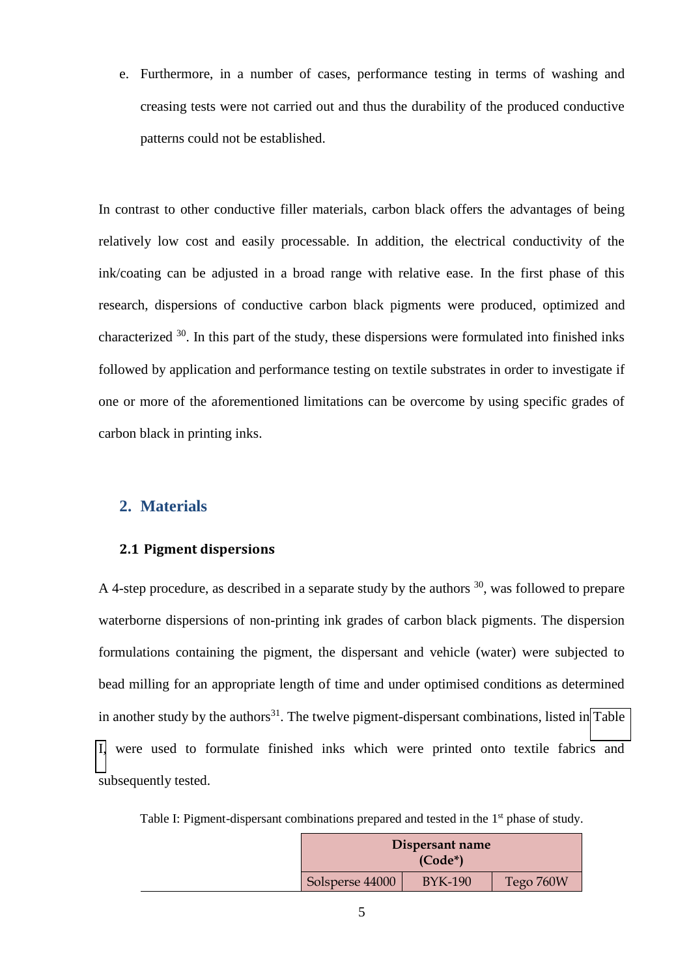e. Furthermore, in a number of cases, performance testing in terms of washing and creasing tests were not carried out and thus the durability of the produced conductive patterns could not be established.

In contrast to other conductive filler materials, carbon black offers the advantages of being relatively low cost and easily processable. In addition, the electrical conductivity of the ink/coating can be adjusted in a broad range with relative ease. In the first phase of this research, dispersions of conductive carbon black pigments were produced, optimized and characterized  $30$ . In this part of the study, these dispersions were formulated into finished inks followed by application and performance testing on textile substrates in order to investigate if one or more of the aforementioned limitations can be overcome by using specific grades of carbon black in printing inks.

## **2. Materials**

## **2.1 Pigment dispersions**

<span id="page-5-0"></span>A 4-step procedure, as described in a separate study by the authors  $30$ , was followed to prepare waterborne dispersions of non-printing ink grades of carbon black pigments. The dispersion formulations containing the pigment, the dispersant and vehicle (water) were subjected to bead milling for an appropriate length of time and under optimised conditions as determined in another study by the authors<sup>31</sup>. The twelve pigment-dispersant combinations, listed in Table [I,](#page-4-0) were used to formulate finished inks which were printed onto textile fabrics and subsequently tested.

Table I: Pigment-dispersant combinations prepared and tested in the 1<sup>st</sup> phase of study.

| Dispersant name |                |           |
|-----------------|----------------|-----------|
| Solsperse 44000 | <b>BYK-190</b> | Tego 760W |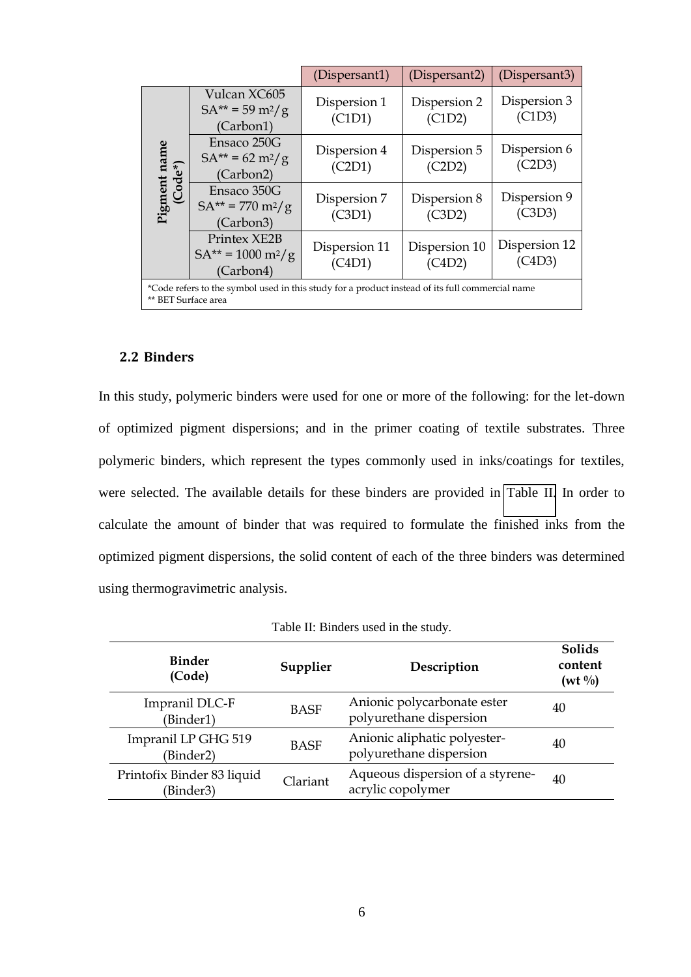|                                                                                                                        |                                                                    | (Dispersant1)           | (Dispersant2)           | (Dispersant3)           |  |
|------------------------------------------------------------------------------------------------------------------------|--------------------------------------------------------------------|-------------------------|-------------------------|-------------------------|--|
| Pigment name<br>(Code*)                                                                                                | Vulcan XC605<br>$SA^{**} = 59 \text{ m}^2/\text{g}$<br>(Carbon1)   | Dispersion 1<br>(C1D1)  | Dispersion 2<br>(C1D2)  | Dispersion 3<br>(C1D3)  |  |
|                                                                                                                        | Ensaco 250G<br>$SA^{**} = 62 \text{ m}^2/\text{g}$<br>(Carbon2)    | Dispersion 4<br>(C2D1)  | Dispersion 5<br>(C2D2)  | Dispersion 6<br>(C2D3)  |  |
|                                                                                                                        | Ensaco 350G<br>$SA^{**} = 770 \text{ m}^2/\text{g}$<br>(Carbon3)   | Dispersion 7<br>(C3D1)  | Dispersion 8<br>(C3D2)  | Dispersion 9<br>(C3D3)  |  |
|                                                                                                                        | Printex XE2B<br>$SA^{**} = 1000 \text{ m}^2/\text{g}$<br>(Carbon4) | Dispersion 11<br>(C4D1) | Dispersion 10<br>(C4D2) | Dispersion 12<br>(C4D3) |  |
| *Code refers to the symbol used in this study for a product instead of its full commercial name<br>** BET Surface area |                                                                    |                         |                         |                         |  |

## <span id="page-6-0"></span>**2.2 Binders**

In this study, polymeric binders were used for one or more of the following: for the let-down of optimized pigment dispersions; and in the primer coating of textile substrates. Three polymeric binders, which represent the types commonly used in inks/coatings for textiles, were selected. The available details for these binders are provided in [Table II.](#page-5-0) In order to calculate the amount of binder that was required to formulate the finished inks from the optimized pigment dispersions, the solid content of each of the three binders was determined using thermogravimetric analysis.

| Table II: Binders used in the study. |
|--------------------------------------|
|--------------------------------------|

| <b>Binder</b><br>(Code)                 | Supplier    | Description                                             | <b>Solids</b><br>content<br>$(wt \frac{0}{0})$ |
|-----------------------------------------|-------------|---------------------------------------------------------|------------------------------------------------|
| Impranil DLC-F<br>(Binder1)             | <b>BASF</b> | Anionic polycarbonate ester<br>polyurethane dispersion  | 40                                             |
| Impranil LP GHG 519<br>(Binder2)        | <b>BASF</b> | Anionic aliphatic polyester-<br>polyurethane dispersion | 40                                             |
| Printofix Binder 83 liquid<br>(Binder3) | Clariant    | Aqueous dispersion of a styrene-<br>acrylic copolymer   | 40                                             |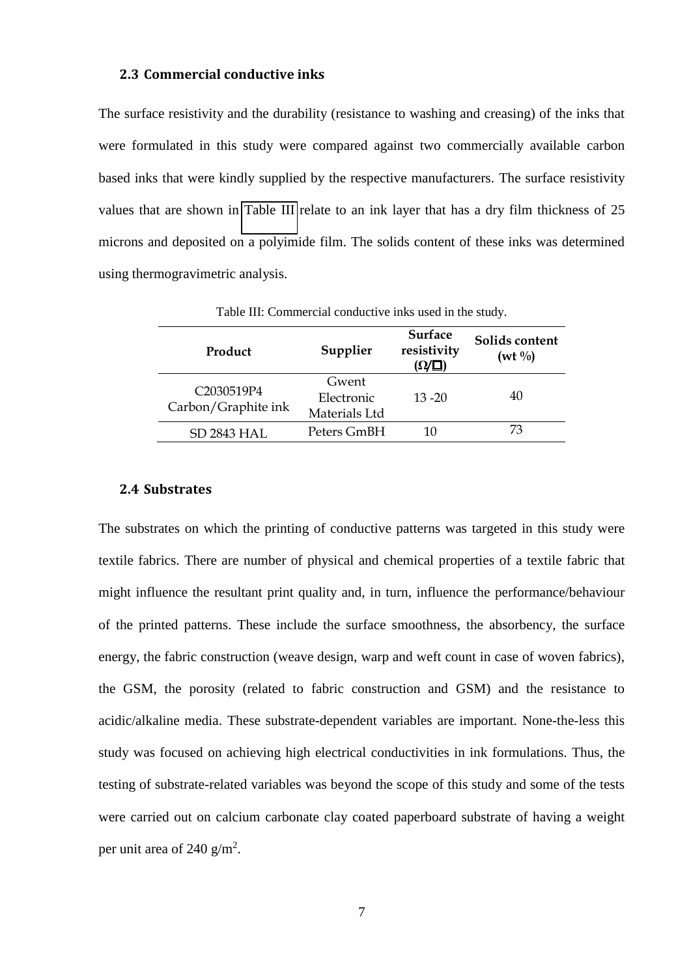#### **2.3 Commercial conductive inks**

The surface resistivity and the durability (resistance to washing and creasing) of the inks that were formulated in this study were compared against two commercially available carbon based inks that were kindly supplied by the respective manufacturers. The surface resistivity values that are shown in [Table III](#page-6-0) relate to an ink layer that has a dry film thickness of 25 microns and deposited on a polyimide film. The solids content of these inks was determined using thermogravimetric analysis.

<span id="page-7-0"></span>

| Product                           | Supplier                             | <b>Surface</b><br>resistivity<br>$(\Omega/\square)$ | Solids content<br>$(wt \frac{0}{0})$ |
|-----------------------------------|--------------------------------------|-----------------------------------------------------|--------------------------------------|
| C2030519P4<br>Carbon/Graphite ink | Gwent<br>Electronic<br>Materials Ltd | $13 - 20$                                           | 40                                   |
| <b>SD 2843 HAL</b>                | Peters GmBH                          | 10                                                  | 73                                   |

Table III: Commercial conductive inks used in the study.

#### **2.4 Substrates**

<span id="page-7-1"></span>The substrates on which the printing of conductive patterns was targeted in this study were textile fabrics. There are number of physical and chemical properties of a textile fabric that might influence the resultant print quality and, in turn, influence the performance/behaviour of the printed patterns. These include the surface smoothness, the absorbency, the surface energy, the fabric construction (weave design, warp and weft count in case of woven fabrics), the GSM, the porosity (related to fabric construction and GSM) and the resistance to acidic/alkaline media. These substrate-dependent variables are important. None-the-less this study was focused on achieving high electrical conductivities in ink formulations. Thus, the testing of substrate-related variables was beyond the scope of this study and some of the tests were carried out on calcium carbonate clay coated paperboard substrate of having a weight per unit area of 240  $g/m^2$ .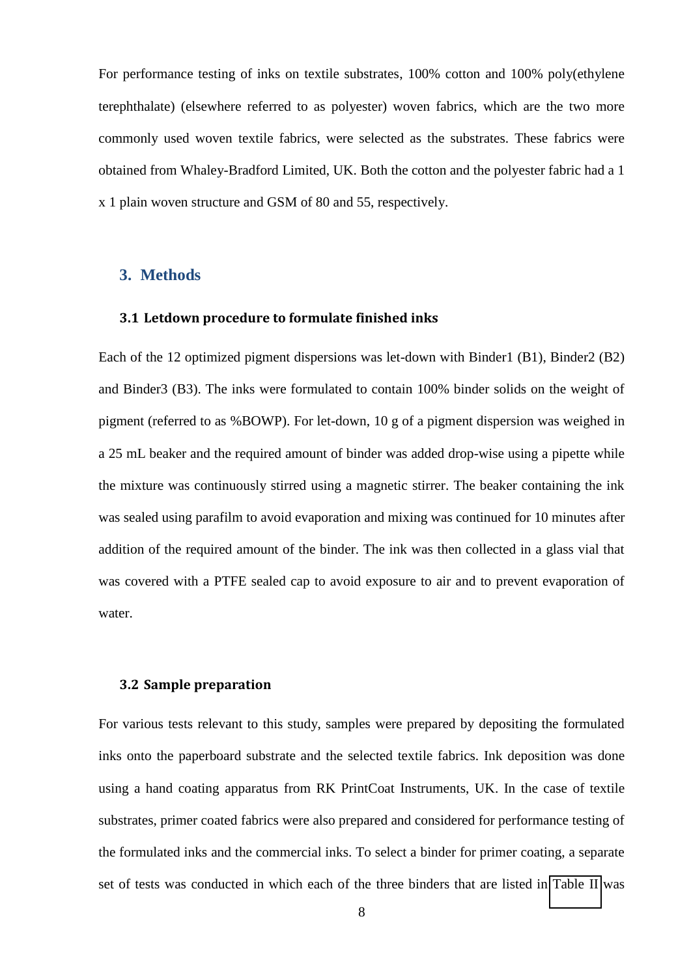For performance testing of inks on textile substrates, 100% cotton and 100% poly(ethylene terephthalate) (elsewhere referred to as polyester) woven fabrics, which are the two more commonly used woven textile fabrics, were selected as the substrates. These fabrics were obtained from Whaley-Bradford Limited, UK. Both the cotton and the polyester fabric had a 1 x 1 plain woven structure and GSM of 80 and 55, respectively.

## **3. Methods**

#### **3.1 Letdown procedure to formulate finished inks**

Each of the 12 optimized pigment dispersions was let-down with Binder1 (B1), Binder2 (B2) and Binder3 (B3). The inks were formulated to contain 100% binder solids on the weight of pigment (referred to as %BOWP). For let-down, 10 g of a pigment dispersion was weighed in a 25 mL beaker and the required amount of binder was added drop-wise using a pipette while the mixture was continuously stirred using a magnetic stirrer. The beaker containing the ink was sealed using parafilm to avoid evaporation and mixing was continued for 10 minutes after addition of the required amount of the binder. The ink was then collected in a glass vial that was covered with a PTFE sealed cap to avoid exposure to air and to prevent evaporation of water.

#### <span id="page-8-0"></span>**3.2 Sample preparation**

For various tests relevant to this study, samples were prepared by depositing the formulated inks onto the paperboard substrate and the selected textile fabrics. Ink deposition was done using a hand coating apparatus from RK PrintCoat Instruments, UK. In the case of textile substrates, primer coated fabrics were also prepared and considered for performance testing of the formulated inks and the commercial inks. To select a binder for primer coating, a separate set of tests was conducted in which each of the three binders that are listed in [Table II](#page-5-0) was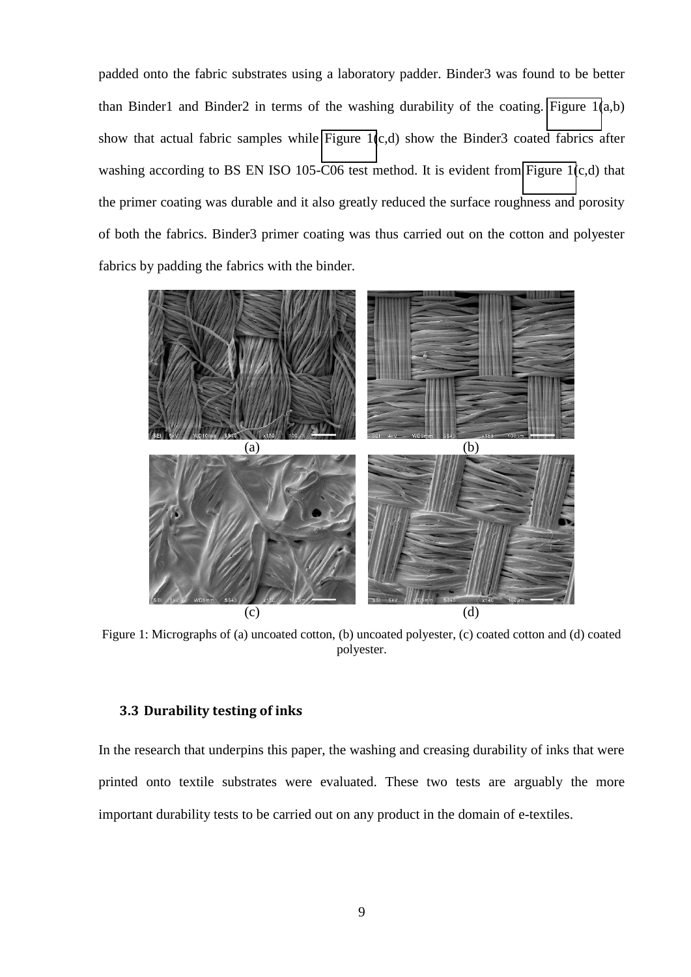padded onto the fabric substrates using a laboratory padder. Binder3 was found to be better than Binder1 and Binder2 in terms of the washing durability of the coating. Figure  $1(a,b)$ show that actual fabric samples while [Figure 1\(](#page-8-0)c,d) show the Binder3 coated fabrics after washing according to BS EN ISO 105-C06 test method. It is evident from [Figure 1\(](#page-8-0)c,d) that the primer coating was durable and it also greatly reduced the surface roughness and porosity of both the fabrics. Binder3 primer coating was thus carried out on the cotton and polyester fabrics by padding the fabrics with the binder.

<span id="page-9-1"></span>

Figure 1: Micrographs of (a) uncoated cotton, (b) uncoated polyester, (c) coated cotton and (d) coated polyester.

#### <span id="page-9-0"></span>**3.3 Durability testing of inks**

In the research that underpins this paper, the washing and creasing durability of inks that were printed onto textile substrates were evaluated. These two tests are arguably the more important durability tests to be carried out on any product in the domain of e-textiles.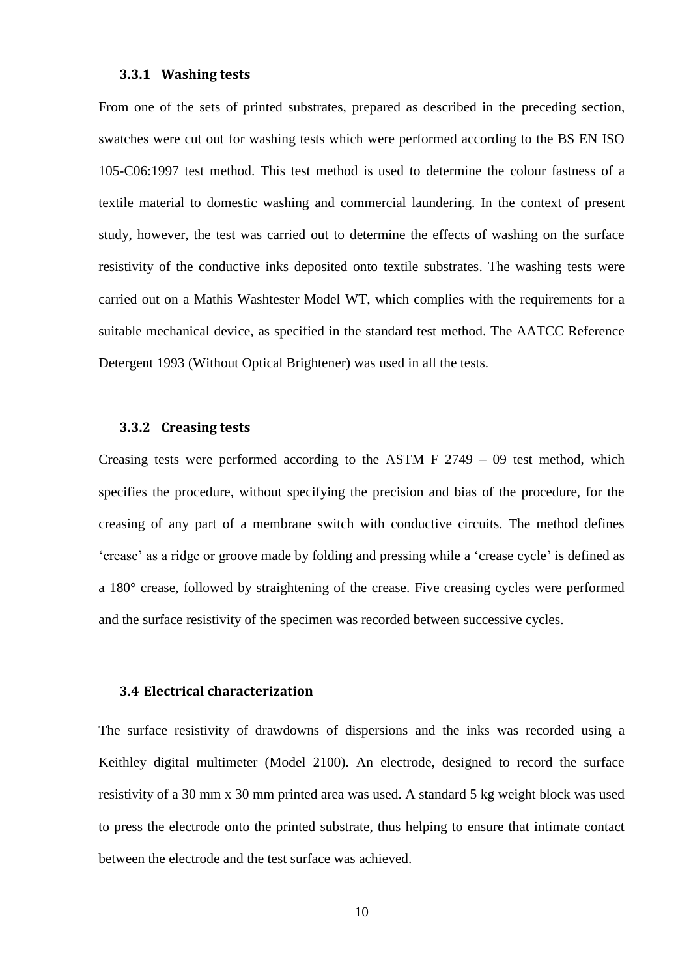#### **3.3.1 Washing tests**

From one of the sets of printed substrates, prepared as described in the preceding section, swatches were cut out for washing tests which were performed according to the BS EN ISO 105-C06:1997 test method. This test method is used to determine the colour fastness of a textile material to domestic washing and commercial laundering. In the context of present study, however, the test was carried out to determine the effects of washing on the surface resistivity of the conductive inks deposited onto textile substrates. The washing tests were carried out on a Mathis Washtester Model WT, which complies with the requirements for a suitable mechanical device, as specified in the standard test method. The AATCC Reference Detergent 1993 (Without Optical Brightener) was used in all the tests.

## **3.3.2 Creasing tests**

Creasing tests were performed according to the ASTM F 2749 – 09 test method, which specifies the procedure, without specifying the precision and bias of the procedure, for the creasing of any part of a membrane switch with conductive circuits. The method defines 'crease' as a ridge or groove made by folding and pressing while a 'crease cycle' is defined as a 180° crease, followed by straightening of the crease. Five creasing cycles were performed and the surface resistivity of the specimen was recorded between successive cycles.

### **3.4 Electrical characterization**

The surface resistivity of drawdowns of dispersions and the inks was recorded using a Keithley digital multimeter (Model 2100). An electrode, designed to record the surface resistivity of a 30 mm x 30 mm printed area was used. A standard 5 kg weight block was used to press the electrode onto the printed substrate, thus helping to ensure that intimate contact between the electrode and the test surface was achieved.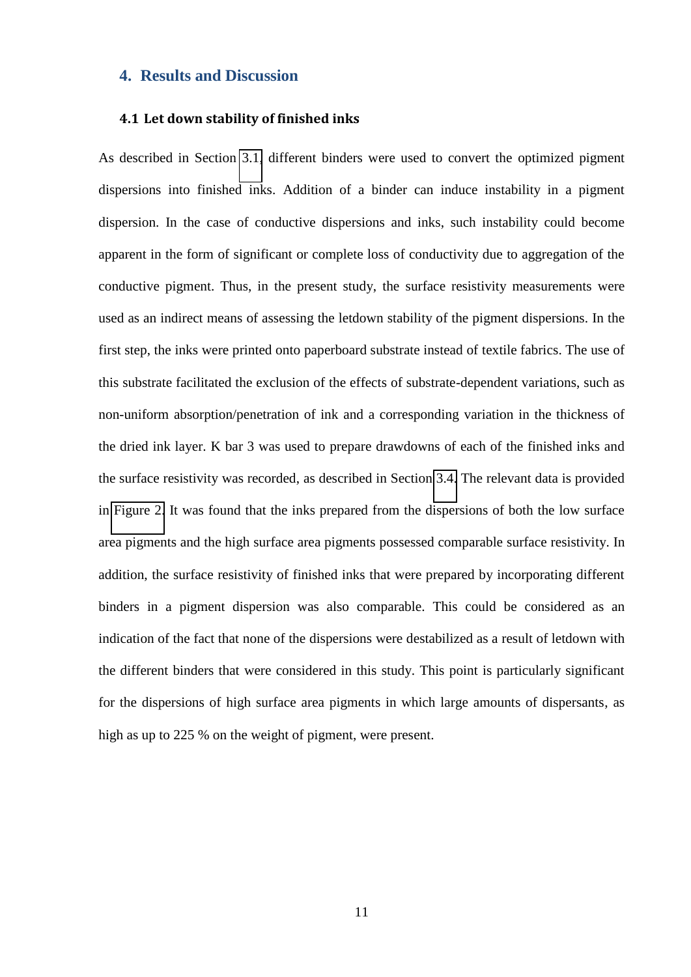## **4. Results and Discussion**

#### **4.1 Let down stability of finished inks**

<span id="page-11-0"></span>As described in Section [3.1,](#page-7-0) different binders were used to convert the optimized pigment dispersions into finished inks. Addition of a binder can induce instability in a pigment dispersion. In the case of conductive dispersions and inks, such instability could become apparent in the form of significant or complete loss of conductivity due to aggregation of the conductive pigment. Thus, in the present study, the surface resistivity measurements were used as an indirect means of assessing the letdown stability of the pigment dispersions. In the first step, the inks were printed onto paperboard substrate instead of textile fabrics. The use of this substrate facilitated the exclusion of the effects of substrate-dependent variations, such as non-uniform absorption/penetration of ink and a corresponding variation in the thickness of the dried ink layer. K bar 3 was used to prepare drawdowns of each of the finished inks and the surface resistivity was recorded, as described in Section [3.4.](#page-9-0) The relevant data is provided in [Figure 2.](#page-11-0) It was found that the inks prepared from the dispersions of both the low surface area pigments and the high surface area pigments possessed comparable surface resistivity. In addition, the surface resistivity of finished inks that were prepared by incorporating different binders in a pigment dispersion was also comparable. This could be considered as an indication of the fact that none of the dispersions were destabilized as a result of letdown with the different binders that were considered in this study. This point is particularly significant for the dispersions of high surface area pigments in which large amounts of dispersants, as high as up to 225 % on the weight of pigment, were present.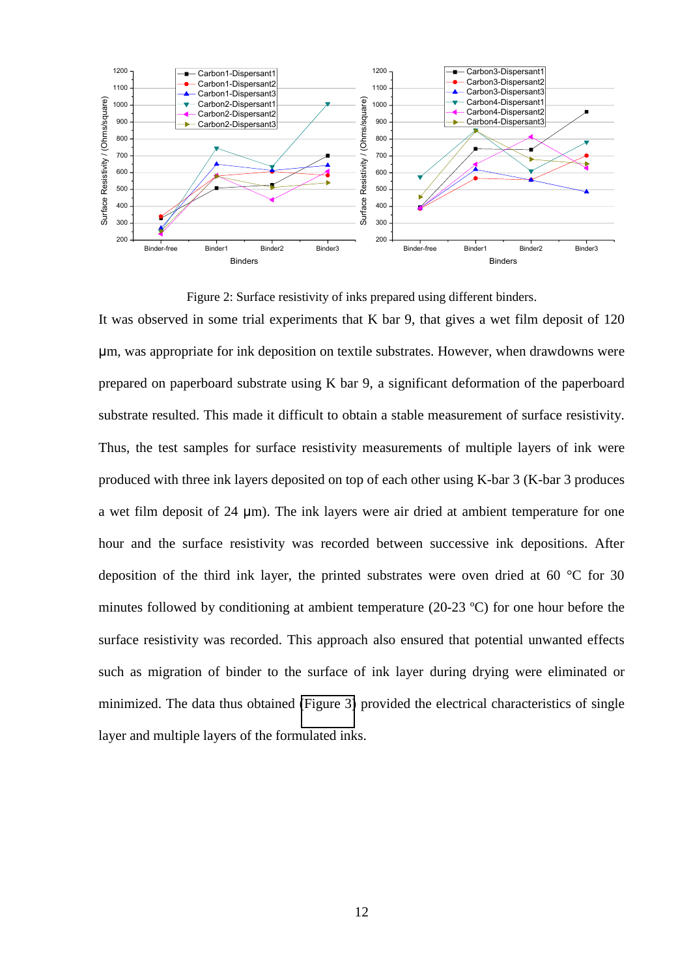

Figure 2: Surface resistivity of inks prepared using different binders.

<span id="page-12-0"></span>It was observed in some trial experiments that K bar 9, that gives a wet film deposit of 120 たm, was appropriate for ink deposition on textile substrates. However, when drawdowns were prepared on paperboard substrate using K bar 9, a significant deformation of the paperboard substrate resulted. This made it difficult to obtain a stable measurement of surface resistivity. Thus, the test samples for surface resistivity measurements of multiple layers of ink were produced with three ink layers deposited on top of each other using K-bar 3 (K-bar 3 produces a wet film deposit of 24  $\mu$ m). The ink layers were air dried at ambient temperature for one hour and the surface resistivity was recorded between successive ink depositions. After deposition of the third ink layer, the printed substrates were oven dried at 60 °C for 30 minutes followed by conditioning at ambient temperature (20-23 ºC) for one hour before the surface resistivity was recorded. This approach also ensured that potential unwanted effects such as migration of binder to the surface of ink layer during drying were eliminated or minimized. The data thus obtained [\(Figure 3\)](#page-12-0) provided the electrical characteristics of single layer and multiple layers of the formulated inks.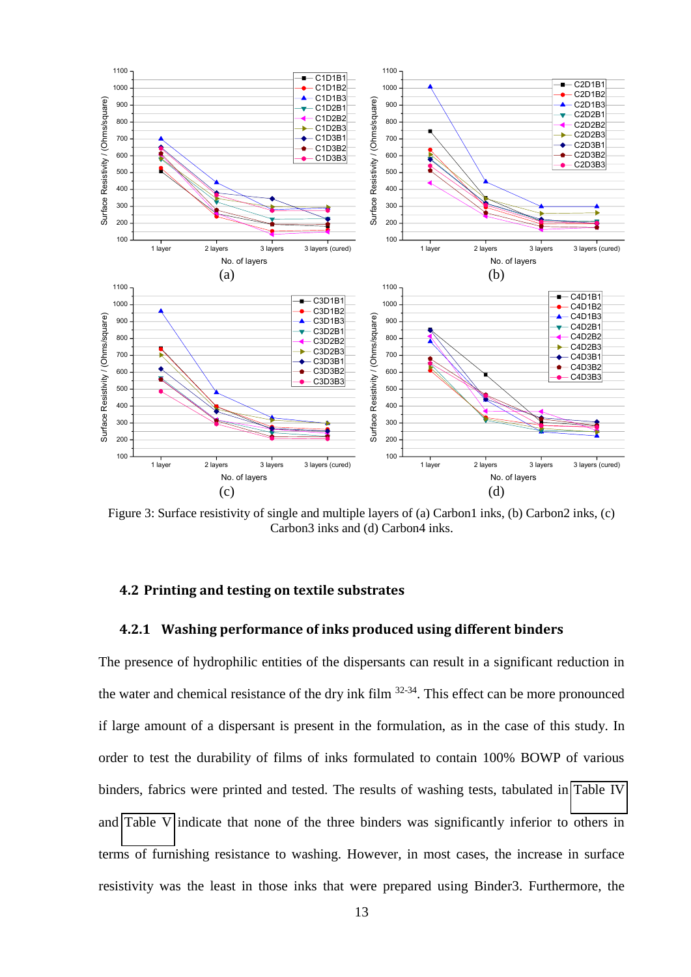<span id="page-13-0"></span>

Figure 3: Surface resistivity of single and multiple layers of (a) Carbon1 inks, (b) Carbon2 inks, (c) Carbon3 inks and (d) Carbon4 inks.

## **4.2 Printing and testing on textile substrates**

#### **4.2.1 Washing performance of inks produced using different binders**

<span id="page-13-1"></span>The presence of hydrophilic entities of the dispersants can result in a significant reduction in the water and chemical resistance of the dry ink film 32-34. This effect can be more pronounced if large amount of a dispersant is present in the formulation, as in the case of this study. In order to test the durability of films of inks formulated to contain 100% BOWP of various binders, fabrics were printed and tested. The results of washing tests, tabulated in [Table IV](#page-13-0) and [Table V](#page-13-1) indicate that none of the three binders was significantly inferior to others in terms of furnishing resistance to washing. However, in most cases, the increase in surface resistivity was the least in those inks that were prepared using Binder3. Furthermore, the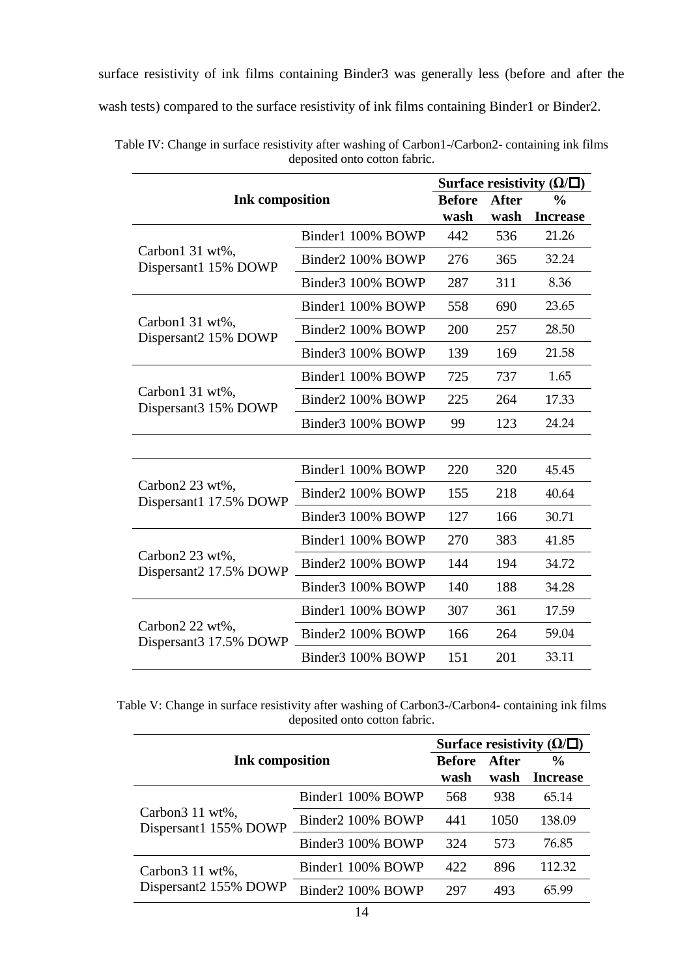surface resistivity of ink films containing Binder3 was generally less (before and after the wash tests) compared to the surface resistivity of ink films containing Binder1 or Binder2.

|                                           |                        |      | Surface resistivity $(\Omega/\square)$ |                 |  |  |
|-------------------------------------------|------------------------|------|----------------------------------------|-----------------|--|--|
|                                           | <b>Ink composition</b> |      | <b>After</b>                           | $\frac{0}{0}$   |  |  |
|                                           |                        | wash | wash                                   | <b>Increase</b> |  |  |
|                                           | Binder1 100% BOWP      | 442  | 536                                    | 21.26           |  |  |
| Carbon1 31 wt%,<br>Dispersant1 15% DOWP   | Binder2 100% BOWP      | 276  | 365                                    | 32.24           |  |  |
|                                           | Binder3 100% BOWP      | 287  | 311                                    | 8.36            |  |  |
|                                           | Binder1 100% BOWP      | 558  | 690                                    | 23.65           |  |  |
| Carbon1 31 wt%,<br>Dispersant2 15% DOWP   | Binder2 100% BOWP      | 200  | 257                                    | 28.50           |  |  |
|                                           | Binder3 100% BOWP      | 139  | 169                                    | 21.58           |  |  |
|                                           | Binder1 100% BOWP      | 725  | 737                                    | 1.65            |  |  |
| Carbon1 31 wt%,<br>Dispersant3 15% DOWP   | Binder2 100% BOWP      | 225  | 264                                    | 17.33           |  |  |
|                                           | Binder3 100% BOWP      | 99   | 123                                    | 24.24           |  |  |
|                                           |                        |      |                                        |                 |  |  |
|                                           | Binder1 100% BOWP      | 220  | 320                                    | 45.45           |  |  |
| Carbon2 23 wt%,<br>Dispersant1 17.5% DOWP | Binder2 100% BOWP      | 155  | 218                                    | 40.64           |  |  |
|                                           | Binder3 100% BOWP      | 127  | 166                                    | 30.71           |  |  |
|                                           | Binder1 100% BOWP      | 270  | 383                                    | 41.85           |  |  |
| Carbon2 23 wt%,<br>Dispersant2 17.5% DOWP | Binder2 100% BOWP      | 144  | 194                                    | 34.72           |  |  |
|                                           | Binder3 100% BOWP      | 140  | 188                                    | 34.28           |  |  |
|                                           | Binder1 100% BOWP      | 307  | 361                                    | 17.59           |  |  |
| Carbon2 22 wt%,<br>Dispersant3 17.5% DOWP | Binder2 100% BOWP      | 166  | 264                                    | 59.04           |  |  |
|                                           | Binder3 100% BOWP      | 151  | 201                                    | 33.11           |  |  |

Table IV: Change in surface resistivity after washing of Carbon1-/Carbon2- containing ink films deposited onto cotton fabric.

Table V: Change in surface resistivity after washing of Carbon3-/Carbon4- containing ink films deposited onto cotton fabric.

| <b>Ink</b> composition                               |                   | Surface resistivity $(\Omega/\square)$ |       |                 |  |
|------------------------------------------------------|-------------------|----------------------------------------|-------|-----------------|--|
|                                                      |                   | <b>Before</b>                          | After | $\frac{6}{9}$   |  |
|                                                      |                   | wash                                   | wash  | <b>Increase</b> |  |
| Carbon <sub>3</sub> 11 wt%,<br>Dispersant1 155% DOWP | Binder1 100% BOWP | 568                                    | 938   | 65.14           |  |
|                                                      | Binder2 100% BOWP | 441                                    | 1050  | 138.09          |  |
|                                                      | Binder3 100% BOWP | 324                                    | 573   | 76.85           |  |
| Carbon3 11 wt%,<br>Dispersant2 155% DOWP             | Binder1 100% BOWP | 422                                    | 896   | 112.32          |  |
|                                                      | Binder2 100% BOWP | 297                                    | 493   | 65.99           |  |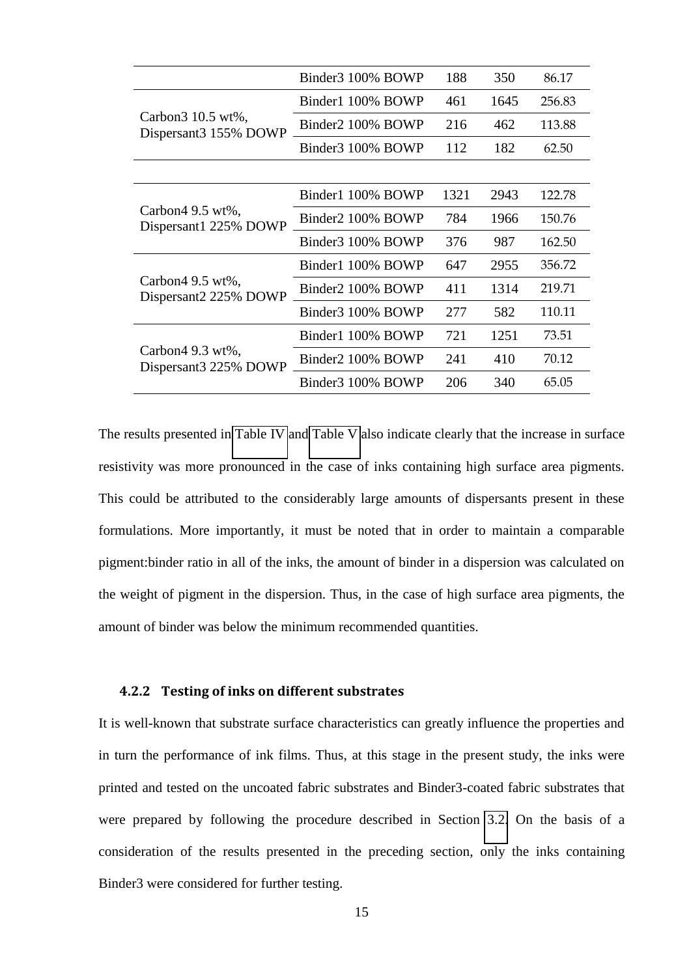|                                             | Binder3 100% BOWP | 188  | 350  | 86.17  |
|---------------------------------------------|-------------------|------|------|--------|
|                                             | Binder1 100% BOWP | 461  | 1645 | 256.83 |
| Carbon3 10.5 wt%,<br>Dispersant 3155% DOWP  | Binder2 100% BOWP | 216  | 462  | 113.88 |
|                                             | Binder3 100% BOWP | 112  | 182  | 62.50  |
|                                             |                   |      |      |        |
|                                             | Binder1 100% BOWP | 1321 | 2943 | 122.78 |
| Carbon $49.5$ wt%,<br>Dispersant1 225% DOWP | Binder2 100% BOWP | 784  | 1966 | 150.76 |
|                                             | Binder3 100% BOWP | 376  | 987  | 162.50 |
|                                             | Binder1 100% BOWP | 647  | 2955 | 356.72 |
| Carbon $49.5$ wt%,<br>Dispersant2 225% DOWP | Binder2 100% BOWP | 411  | 1314 | 219.71 |
|                                             | Binder3 100% BOWP | 277  | 582  | 110.11 |
| Carbon $49.3$ wt%,<br>Dispersant 3225% DOWP | Binder1 100% BOWP | 721  | 1251 | 73.51  |
|                                             | Binder2 100% BOWP | 241  | 410  | 70.12  |
|                                             | Binder3 100% BOWP | 206  | 340  | 65.05  |

<span id="page-15-0"></span>The results presented in [Table IV](#page-13-0) and [Table V](#page-13-1) also indicate clearly that the increase in surface resistivity was more pronounced in the case of inks containing high surface area pigments. This could be attributed to the considerably large amounts of dispersants present in these formulations. More importantly, it must be noted that in order to maintain a comparable pigment:binder ratio in all of the inks, the amount of binder in a dispersion was calculated on the weight of pigment in the dispersion. Thus, in the case of high surface area pigments, the amount of binder was below the minimum recommended quantities.

### <span id="page-15-1"></span>**4.2.2 Testing of inks on different substrates**

It is well-known that substrate surface characteristics can greatly influence the properties and in turn the performance of ink films. Thus, at this stage in the present study, the inks were printed and tested on the uncoated fabric substrates and Binder3-coated fabric substrates that were prepared by following the procedure described in Section [3.2.](#page-7-1) On the basis of a consideration of the results presented in the preceding section, only the inks containing Binder3 were considered for further testing.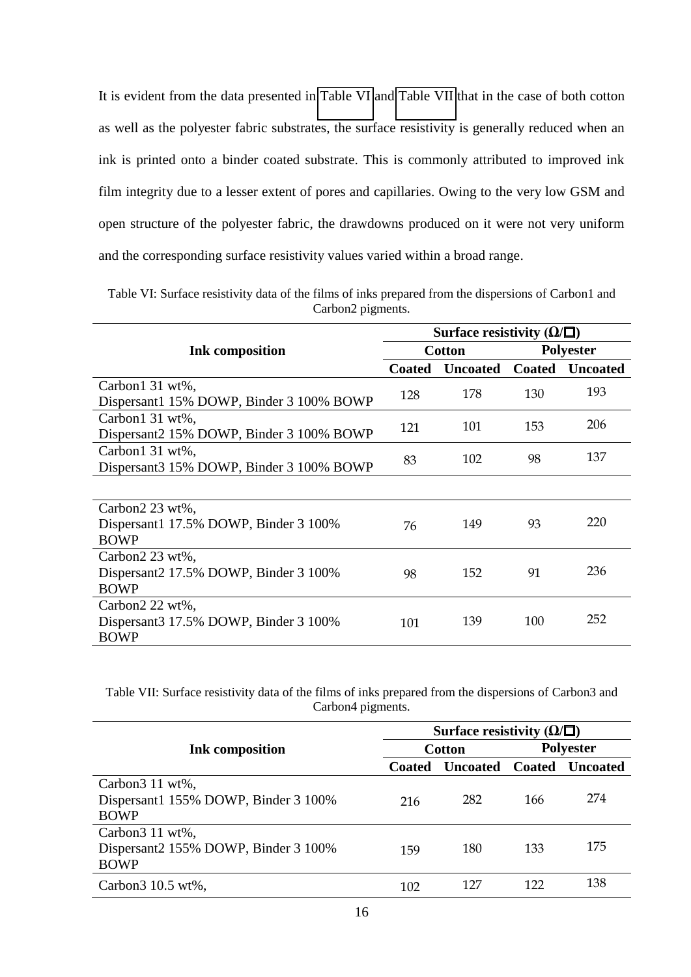It is evident from the data presented in [Table VI](#page-15-0) and [Table VII](#page-15-1) that in the case of both cotton as well as the polyester fabric substrates, the surface resistivity is generally reduced when an ink is printed onto a binder coated substrate. This is commonly attributed to improved ink film integrity due to a lesser extent of pores and capillaries. Owing to the very low GSM and open structure of the polyester fabric, the drawdowns produced on it were not very uniform and the corresponding surface resistivity values varied within a broad range.

| Table VI: Surface resistivity data of the films of inks prepared from the dispersions of Carbon 1 and |
|-------------------------------------------------------------------------------------------------------|
| Carbon2 pigments.                                                                                     |

|                                          | Surface resistivity $(\Omega/\square)$ |                 |               |                  |
|------------------------------------------|----------------------------------------|-----------------|---------------|------------------|
| <b>Ink composition</b>                   | <b>Cotton</b>                          |                 |               | <b>Polyester</b> |
|                                          | <b>Coated</b>                          | <b>Uncoated</b> | <b>Coated</b> | <b>Uncoated</b>  |
| Carbon1 31 wt%,                          |                                        | 178             | 130           | 193              |
| Dispersant1 15% DOWP, Binder 3 100% BOWP | 128                                    |                 |               |                  |
| Carbon1 31 wt%,                          |                                        | 101             | 153           | 206              |
| Dispersant2 15% DOWP, Binder 3 100% BOWP | 121                                    |                 |               |                  |
| Carbon1 31 wt%,                          |                                        | 102             | 98            | 137              |
| Dispersant 315% DOWP, Binder 3 100% BOWP | 83                                     |                 |               |                  |
|                                          |                                        |                 |               |                  |
| Carbon2 23 wt%,                          |                                        |                 |               |                  |
| Dispersant1 17.5% DOWP, Binder 3 100%    | 76                                     | 149             | 93            | 220              |
| <b>BOWP</b>                              |                                        |                 |               |                  |
| Carbon2 23 wt%,                          |                                        |                 |               |                  |
| Dispersant2 17.5% DOWP, Binder 3 100%    | 98                                     | 152             | 91            | 236              |
| <b>BOWP</b>                              |                                        |                 |               |                  |
| Carbon2 22 wt%,                          |                                        |                 |               |                  |
| Dispersant 317.5% DOWP, Binder 3 100%    | 101                                    | 139             | 100           | 252              |
| <b>BOWP</b>                              |                                        |                 |               |                  |

Table VII: Surface resistivity data of the films of inks prepared from the dispersions of Carbon3 and Carbon4 pigments.

<span id="page-16-0"></span>

|                                                                                    | Surface resistivity $(\Omega/\square)$ |                          |                  |     |  |
|------------------------------------------------------------------------------------|----------------------------------------|--------------------------|------------------|-----|--|
| <b>Ink</b> composition                                                             | <b>Cotton</b>                          |                          | <b>Polyester</b> |     |  |
|                                                                                    | <b>Coated</b>                          | Uncoated Coated Uncoated |                  |     |  |
| Carbon <sub>3</sub> 11 wt%,<br>Dispersant1 155% DOWP, Binder 3 100%<br><b>BOWP</b> | 216                                    | 282                      | 166              | 274 |  |
| Carbon $311$ wt%,<br>Dispersant2 155% DOWP, Binder 3 100%<br><b>BOWP</b>           | 159                                    | 180                      | 133              | 175 |  |
| Carbon $310.5$ wt%,                                                                | 102                                    | 127                      | 122              | 138 |  |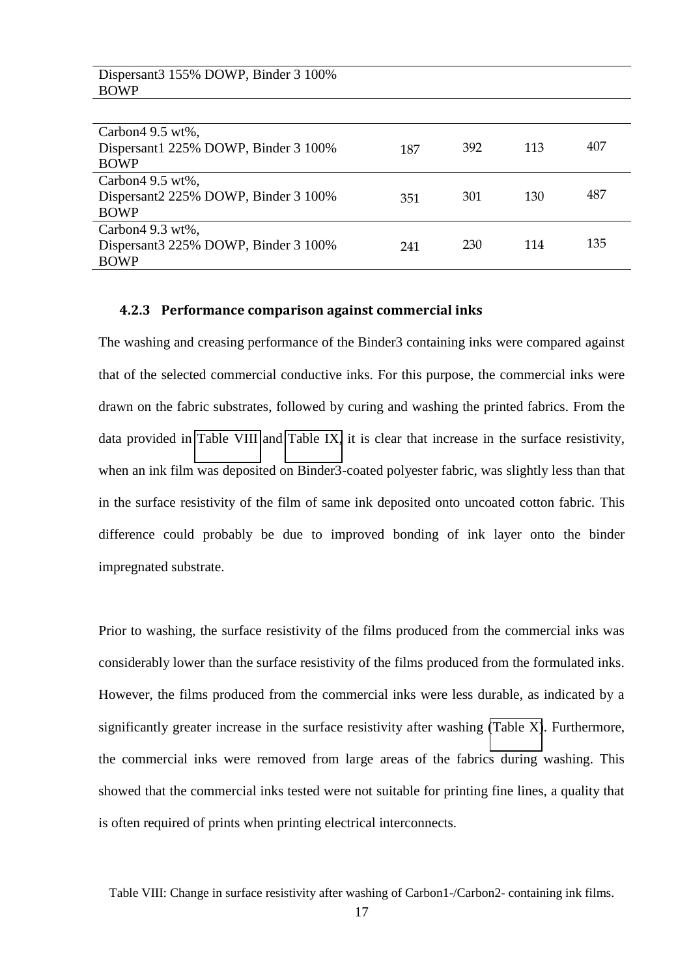| Dispersant3 155% DOWP, Binder 3 100%<br><b>BOWP</b> |     |     |     |     |
|-----------------------------------------------------|-----|-----|-----|-----|
|                                                     |     |     |     |     |
| Carbon $49.5$ wt%,                                  |     |     |     |     |
| Dispersant1 225% DOWP, Binder 3 100%                | 187 | 392 | 113 | 407 |
| <b>BOWP</b>                                         |     |     |     |     |
| Carbon $49.5$ wt%,                                  |     |     |     |     |
| Dispersant 2225% DOWP, Binder 3 100%                | 351 | 301 | 130 | 487 |
| <b>BOWP</b>                                         |     |     |     |     |
| Carbon $49.3$ wt%,                                  |     |     |     |     |
| Dispersant 3225% DOWP, Binder 3 100%                | 241 | 230 | 114 | 135 |
| <b>BOWP</b>                                         |     |     |     |     |

#### **4.2.3 Performance comparison against commercial inks**

<span id="page-17-0"></span>The washing and creasing performance of the Binder3 containing inks were compared against that of the selected commercial conductive inks. For this purpose, the commercial inks were drawn on the fabric substrates, followed by curing and washing the printed fabrics. From the data provided in [Table VIII](#page-16-0) and [Table IX,](#page-17-0) it is clear that increase in the surface resistivity, when an ink film was deposited on Binder3-coated polyester fabric, was slightly less than that in the surface resistivity of the film of same ink deposited onto uncoated cotton fabric. This difference could probably be due to improved bonding of ink layer onto the binder impregnated substrate.

Prior to washing, the surface resistivity of the films produced from the commercial inks was considerably lower than the surface resistivity of the films produced from the formulated inks. However, the films produced from the commercial inks were less durable, as indicated by a significantly greater increase in the surface resistivity after washing [\(Table X\)](#page-17-1). Furthermore, the commercial inks were removed from large areas of the fabrics during washing. This showed that the commercial inks tested were not suitable for printing fine lines, a quality that is often required of prints when printing electrical interconnects.

<span id="page-17-1"></span>Table VIII: Change in surface resistivity after washing of Carbon1-/Carbon2- containing ink films.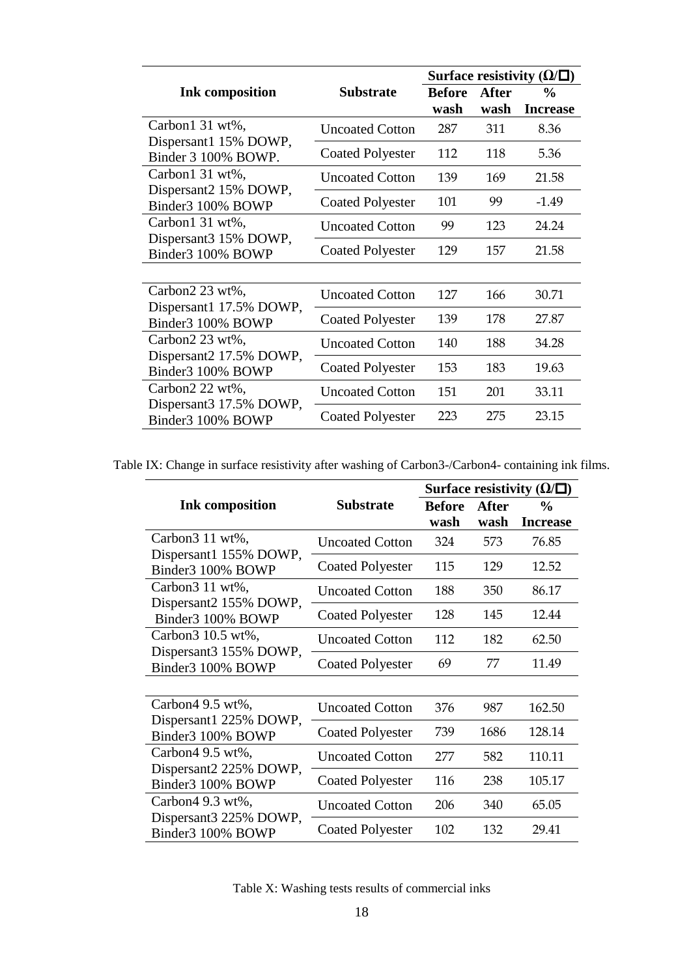|                                                               |                         | Surface resistivity $(\Omega/\square)$ |              |                 |  |  |
|---------------------------------------------------------------|-------------------------|----------------------------------------|--------------|-----------------|--|--|
| <b>Ink composition</b>                                        | <b>Substrate</b>        |                                        | <b>After</b> | $\frac{0}{0}$   |  |  |
|                                                               |                         | wash                                   | wash         | <b>Increase</b> |  |  |
| Carbon1 31 wt%,                                               | <b>Uncoated Cotton</b>  | 287                                    | 311          | 8.36            |  |  |
| Dispersant1 15% DOWP,<br>Binder 3 100% BOWP.                  | <b>Coated Polyester</b> | 112                                    | 118          | 5.36            |  |  |
| Carbon1 31 wt%,<br>Dispersant2 15% DOWP,                      | <b>Uncoated Cotton</b>  | 139                                    | 169          | 21.58           |  |  |
| Binder3 100% BOWP                                             | <b>Coated Polyester</b> | 101                                    | 99           | $-1.49$         |  |  |
| Carbon1 31 wt%,<br>Dispersant 315% DOWP,<br>Binder3 100% BOWP | <b>Uncoated Cotton</b>  | 99                                     | 123          | 24.24           |  |  |
|                                                               | <b>Coated Polyester</b> | 129                                    | 157          | 21.58           |  |  |
|                                                               |                         |                                        |              |                 |  |  |
| Carbon2 23 wt%,                                               | <b>Uncoated Cotton</b>  | 127                                    | 166          | 30.71           |  |  |
| Dispersant1 17.5% DOWP,<br>Binder3 100% BOWP                  | <b>Coated Polyester</b> | 139                                    | 178          | 27.87           |  |  |
| Carbon2 $23$ wt%,                                             | <b>Uncoated Cotton</b>  | 140                                    | 188          | 34.28           |  |  |
| Dispersant2 17.5% DOWP,<br>Binder3 100% BOWP                  | <b>Coated Polyester</b> | 153                                    | 183          | 19.63           |  |  |
| Carbon2 22 wt%,                                               | <b>Uncoated Cotton</b>  | 151                                    | 201          | 33.11           |  |  |
| Dispersant 317.5% DOWP,<br>Binder3 100% BOWP                  | <b>Coated Polyester</b> | 223                                    | 275          | 23.15           |  |  |

Table IX: Change in surface resistivity after washing of Carbon3-/Carbon4- containing ink films.

<span id="page-18-0"></span>

|                                             |                         | Surface resistivity ( $\Omega/\square$ ) |              |                 |  |
|---------------------------------------------|-------------------------|------------------------------------------|--------------|-----------------|--|
| <b>Ink composition</b>                      | <b>Substrate</b>        |                                          | <b>After</b> | $\frac{0}{0}$   |  |
|                                             |                         | wash                                     | wash         | <b>Increase</b> |  |
| Carbon <sub>3</sub> 11 wt%,                 | <b>Uncoated Cotton</b>  | 324                                      | 573          | 76.85           |  |
| Dispersant1 155% DOWP,<br>Binder3 100% BOWP | <b>Coated Polyester</b> | 115                                      | 129          | 12.52           |  |
| Carbon3 11 wt%,                             | <b>Uncoated Cotton</b>  | 188                                      | 350          | 86.17           |  |
| Dispersant2 155% DOWP,<br>Binder3 100% BOWP | <b>Coated Polyester</b> | 128                                      | 145          | 12.44           |  |
| Carbon3 10.5 wt%,                           | <b>Uncoated Cotton</b>  | 112                                      | 182          | 62.50           |  |
| Dispersant3 155% DOWP,<br>Binder3 100% BOWP | <b>Coated Polyester</b> | 69                                       | 77           | 11.49           |  |
|                                             |                         |                                          |              |                 |  |
| Carbon4 9.5 wt%,                            | <b>Uncoated Cotton</b>  | 376                                      | 987          | 162.50          |  |
| Dispersant1 225% DOWP,<br>Binder3 100% BOWP | <b>Coated Polyester</b> | 739                                      | 1686         | 128.14          |  |
| Carbon4 9.5 wt%,                            | <b>Uncoated Cotton</b>  | 277                                      | 582          | 110.11          |  |
| Dispersant2 225% DOWP,<br>Binder3 100% BOWP | <b>Coated Polyester</b> | 116                                      | 238          | 105.17          |  |
| Carbon4 9.3 wt%,                            | <b>Uncoated Cotton</b>  | 206                                      | 340          | 65.05           |  |
| Dispersant3 225% DOWP,<br>Binder3 100% BOWP | <b>Coated Polyester</b> | 102                                      | 132          | 29.41           |  |

Table X: Washing tests results of commercial inks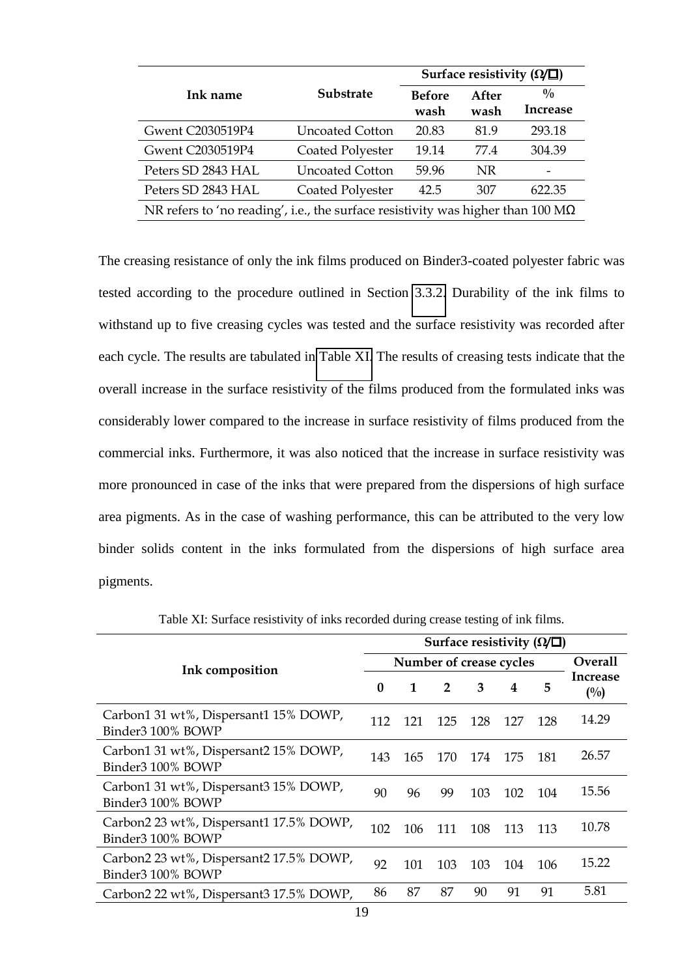|                                                                                        |                        | Surface resistivity ( $\Omega/\square$ ) |               |                                  |  |  |
|----------------------------------------------------------------------------------------|------------------------|------------------------------------------|---------------|----------------------------------|--|--|
| Ink name                                                                               | <b>Substrate</b>       | <b>Before</b><br>wash                    | After<br>wash | $\frac{0}{0}$<br><b>Increase</b> |  |  |
| Gwent C2030519P4                                                                       | <b>Uncoated Cotton</b> | 20.83                                    | 81.9          | 293.18                           |  |  |
| Gwent C2030519P4                                                                       | Coated Polyester       | 19.14                                    | 77.4          | 304.39                           |  |  |
| Peters SD 2843 HAL                                                                     | <b>Uncoated Cotton</b> | 59.96                                    | <b>NR</b>     |                                  |  |  |
| Peters SD 2843 HAL                                                                     | Coated Polyester       | 42.5                                     | 307           | 622.35                           |  |  |
| NR refers to 'no reading', i.e., the surface resistivity was higher than 100 $M\Omega$ |                        |                                          |               |                                  |  |  |

The creasing resistance of only the ink films produced on Binder3-coated polyester fabric was tested according to the procedure outlined in Section [3.3.2.](#page-9-1) Durability of the ink films to withstand up to five creasing cycles was tested and the surface resistivity was recorded after each cycle. The results are tabulated in [Table XI.](#page-18-0) The results of creasing tests indicate that the overall increase in the surface resistivity of the films produced from the formulated inks was considerably lower compared to the increase in surface resistivity of films produced from the commercial inks. Furthermore, it was also noticed that the increase in surface resistivity was more pronounced in case of the inks that were prepared from the dispersions of high surface area pigments. As in the case of washing performance, this can be attributed to the very low binder solids content in the inks formulated from the dispersions of high surface area pigments.

|                                                              | Surface resistivity ( $\Omega/\square$ ) |                         |                |     |     |     |                          |
|--------------------------------------------------------------|------------------------------------------|-------------------------|----------------|-----|-----|-----|--------------------------|
| Ink composition                                              |                                          | Number of crease cycles |                |     |     |     | <b>Overall</b>           |
|                                                              |                                          | $\mathbf{1}$            | $\overline{2}$ | 3   | 4   | 5   | <b>Increase</b><br>(0/0) |
| Carbon1 31 wt%, Dispersant1 15% DOWP,<br>Binder3 100% BOWP   | 112                                      | 121                     | 125            | 128 | 127 | 128 | 14.29                    |
| Carbon1 31 wt%, Dispersant2 15% DOWP,<br>Binder3 100% BOWP   | 143                                      | 165                     | 170            | 174 | 175 | 181 | 26.57                    |
| Carbon1 31 wt%, Dispersant3 15% DOWP,<br>Binder3 100% BOWP   | 90                                       | 96                      | 99             | 103 | 102 | 104 | 15.56                    |
| Carbon2 23 wt%, Dispersant1 17.5% DOWP,<br>Binder3 100% BOWP | 102                                      | 106                     | 111            | 108 | 113 | 113 | 10.78                    |
| Carbon2 23 wt%, Dispersant2 17.5% DOWP,<br>Binder3 100% BOWP | 92                                       | 101                     | 103            | 103 | 104 | 106 | 15.22                    |
| Carbon2 22 wt%, Dispersant3 17.5% DOWP,                      | 86                                       | 87                      | 87             | 90  | 91  | 91  | 5.81                     |

Table XI: Surface resistivity of inks recorded during crease testing of ink films.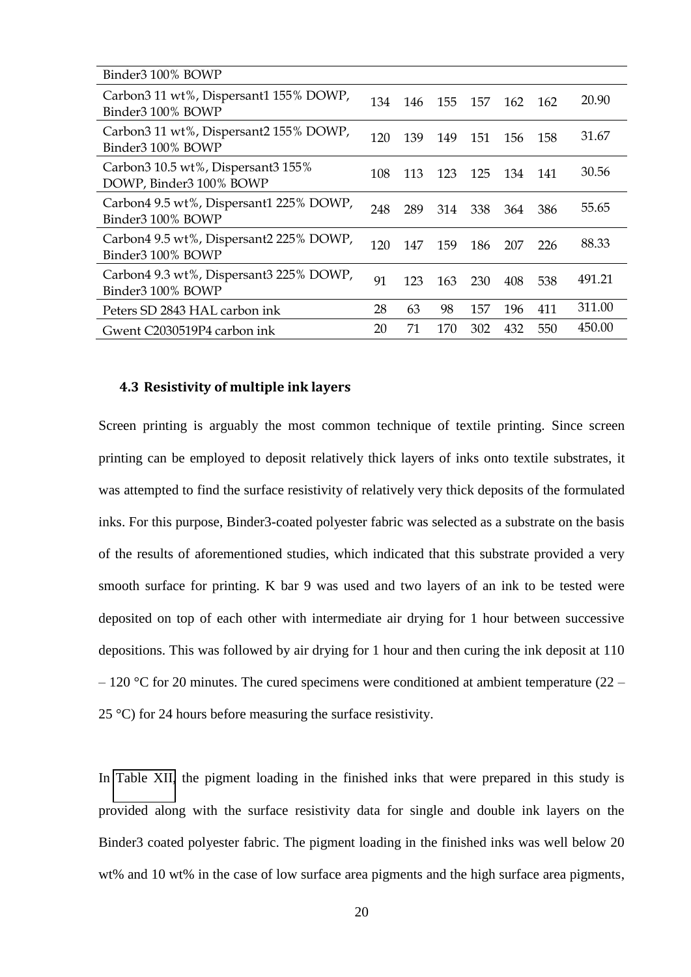| Binder3 100% BOWP                                             |     |     |     |         |     |      |        |
|---------------------------------------------------------------|-----|-----|-----|---------|-----|------|--------|
| Carbon3 11 wt%, Dispersant1 155% DOWP,<br>Binder3 100% BOWP   | 134 | 146 |     | 155 157 | 162 | 162  | 20.90  |
| Carbon3 11 wt%, Dispersant2 155% DOWP,<br>Binder3 100% BOWP   | 120 | 139 | 149 | 151     | 156 | -158 | 31.67  |
| Carbon3 10.5 wt%, Dispersant3 155%<br>DOWP, Binder3 100% BOWP | 108 | 113 | 123 | 125     | 134 | 141  | 30.56  |
| Carbon4 9.5 wt%, Dispersant1 225% DOWP,<br>Binder3 100% BOWP  | 248 | 289 | 314 | -338    | 364 | 386  | 55.65  |
| Carbon4 9.5 wt%, Dispersant2 225% DOWP,<br>Binder3 100% BOWP  | 120 | 147 | 159 | 186     | 207 | 226  | 88.33  |
| Carbon4 9.3 wt%, Dispersant3 225% DOWP,<br>Binder3 100% BOWP  | 91  | 123 | 163 | 230     | 408 | 538  | 491.21 |
| Peters SD 2843 HAL carbon ink                                 | 28  | 63  | 98  | 157     | 196 | 411  | 311.00 |
| Gwent C2030519P4 carbon ink                                   | 20  | 71  | 170 | 302     | 432 | 550  | 450.00 |

#### <span id="page-20-0"></span>**4.3 Resistivity of multiple ink layers**

Screen printing is arguably the most common technique of textile printing. Since screen printing can be employed to deposit relatively thick layers of inks onto textile substrates, it was attempted to find the surface resistivity of relatively very thick deposits of the formulated inks. For this purpose, Binder3-coated polyester fabric was selected as a substrate on the basis of the results of aforementioned studies, which indicated that this substrate provided a very smooth surface for printing. K bar 9 was used and two layers of an ink to be tested were deposited on top of each other with intermediate air drying for 1 hour between successive depositions. This was followed by air drying for 1 hour and then curing the ink deposit at 110  $-120$  °C for 20 minutes. The cured specimens were conditioned at ambient temperature (22 – 25 °C) for 24 hours before measuring the surface resistivity.

In [Table XII,](#page-20-0) the pigment loading in the finished inks that were prepared in this study is provided along with the surface resistivity data for single and double ink layers on the Binder3 coated polyester fabric. The pigment loading in the finished inks was well below 20 wt% and 10 wt% in the case of low surface area pigments and the high surface area pigments,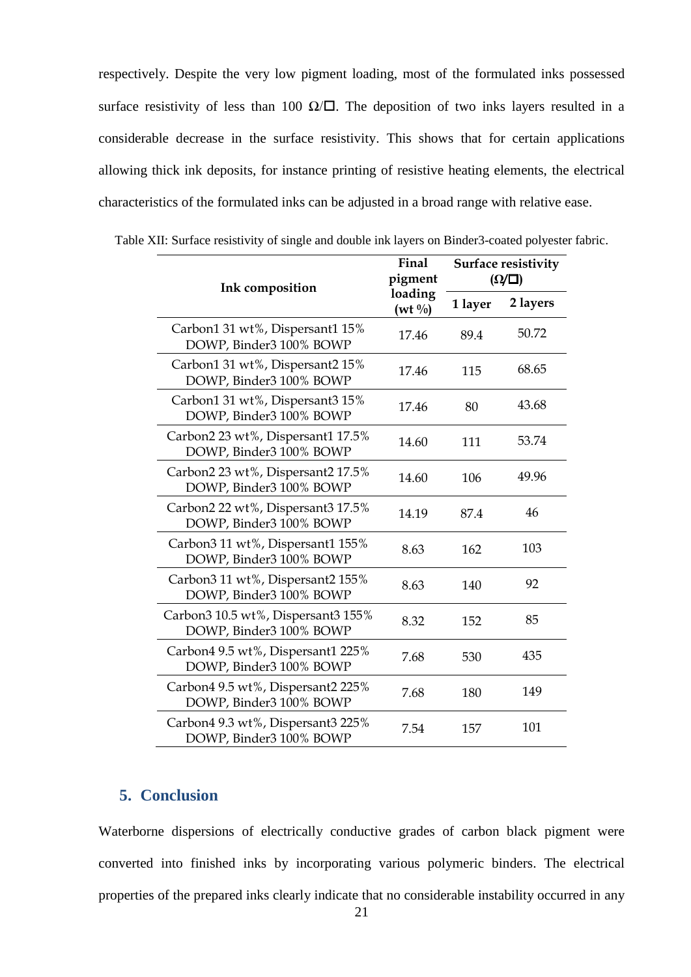respectively. Despite the very low pigment loading, most of the formulated inks possessed surface resistivity of less than 100  $\Omega/\square$ . The deposition of two inks layers resulted in a considerable decrease in the surface resistivity. This shows that for certain applications allowing thick ink deposits, for instance printing of resistive heating elements, the electrical characteristics of the formulated inks can be adjusted in a broad range with relative ease.

|  | Table XII: Surface resistivity of single and double ink layers on Binder3-coated polyester fabric. |  |
|--|----------------------------------------------------------------------------------------------------|--|
|  |                                                                                                    |  |

| Ink composition                                               | Final<br>pigment              | <b>Surface resistivity</b><br>$(\Omega/\square)$ |          |  |
|---------------------------------------------------------------|-------------------------------|--------------------------------------------------|----------|--|
|                                                               | loading<br>$(wt \frac{0}{0})$ | 1 layer                                          | 2 layers |  |
| Carbon1 31 wt%, Dispersant1 15%<br>DOWP, Binder3 100% BOWP    | 17.46                         | 89.4                                             | 50.72    |  |
| Carbon1 31 wt%, Dispersant2 15%<br>DOWP, Binder3 100% BOWP    | 17.46                         | 115                                              | 68.65    |  |
| Carbon1 31 wt%, Dispersant3 15%<br>DOWP, Binder3 100% BOWP    | 17.46                         | 80                                               | 43.68    |  |
| Carbon2 23 wt%, Dispersant1 17.5%<br>DOWP, Binder3 100% BOWP  | 14.60                         | 111                                              | 53.74    |  |
| Carbon2 23 wt%, Dispersant2 17.5%<br>DOWP, Binder3 100% BOWP  | 14.60                         | 106                                              | 49.96    |  |
| Carbon2 22 wt%, Dispersant3 17.5%<br>DOWP, Binder3 100% BOWP  | 14.19                         | 87.4                                             | 46       |  |
| Carbon3 11 wt%, Dispersant1 155%<br>DOWP, Binder3 100% BOWP   | 8.63                          | 162                                              | 103      |  |
| Carbon3 11 wt%, Dispersant2 155%<br>DOWP, Binder3 100% BOWP   | 8.63                          | 140                                              | 92       |  |
| Carbon3 10.5 wt%, Dispersant3 155%<br>DOWP, Binder3 100% BOWP | 8.32                          | 152                                              | 85       |  |
| Carbon4 9.5 wt%, Dispersant1 225%<br>DOWP, Binder3 100% BOWP  | 7.68                          | 530                                              | 435      |  |
| Carbon4 9.5 wt%, Dispersant2 225%<br>DOWP, Binder3 100% BOWP  | 7.68                          | 180                                              | 149      |  |
| Carbon4 9.3 wt%, Dispersant3 225%<br>DOWP, Binder3 100% BOWP  | 7.54                          | 157                                              | 101      |  |

## **5. Conclusion**

Waterborne dispersions of electrically conductive grades of carbon black pigment were converted into finished inks by incorporating various polymeric binders. The electrical properties of the prepared inks clearly indicate that no considerable instability occurred in any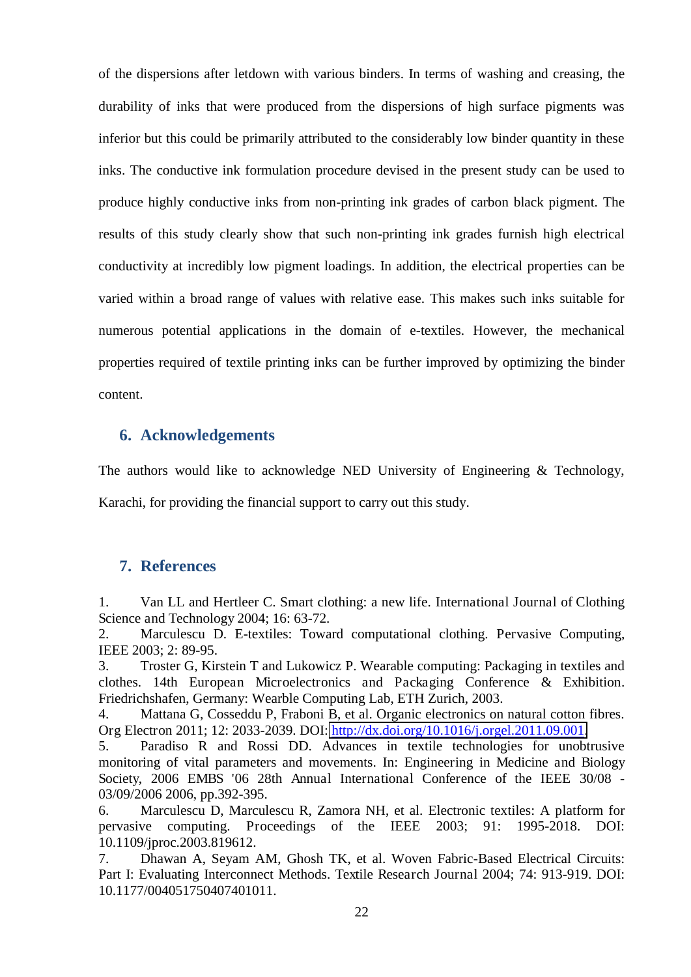of the dispersions after letdown with various binders. In terms of washing and creasing, the durability of inks that were produced from the dispersions of high surface pigments was inferior but this could be primarily attributed to the considerably low binder quantity in these inks. The conductive ink formulation procedure devised in the present study can be used to produce highly conductive inks from non-printing ink grades of carbon black pigment. The results of this study clearly show that such non-printing ink grades furnish high electrical conductivity at incredibly low pigment loadings. In addition, the electrical properties can be varied within a broad range of values with relative ease. This makes such inks suitable for numerous potential applications in the domain of e-textiles. However, the mechanical properties required of textile printing inks can be further improved by optimizing the binder content.

## **6. Acknowledgements**

The authors would like to acknowledge NED University of Engineering  $\&$  Technology,

Karachi, for providing the financial support to carry out this study.

## **7. References**

1. Van LL and Hertleer C. Smart clothing: a new life. International Journal of Clothing Science and Technology 2004; 16: 63-72.

2. Marculescu D. E-textiles: Toward computational clothing. Pervasive Computing, IEEE 2003; 2: 89-95.

3. Troster G, Kirstein T and Lukowicz P. Wearable computing: Packaging in textiles and clothes. 14th European Microelectronics and Packaging Conference & Exhibition. Friedrichshafen, Germany: Wearble Computing Lab, ETH Zurich, 2003.

4. Mattana G, Cosseddu P, Fraboni B, et al. Organic electronics on natural cotton fibres. Org Electron 2011; 12: 2033-2039. DOI: [http://dx.doi.org/10.1016/j.orgel.2011.09.001.](http://dx.doi.org/10.1016/j.orgel.2011.09.001)

5. Paradiso R and Rossi DD. Advances in textile technologies for unobtrusive monitoring of vital parameters and movements. In: Engineering in Medicine and Biology Society, 2006 EMBS '06 28th Annual International Conference of the IEEE 30/08 - 03/09/2006 2006, pp.392-395.

6. Marculescu D, Marculescu R, Zamora NH, et al. Electronic textiles: A platform for pervasive computing. Proceedings of the IEEE 2003; 91: 1995-2018. DOI: 10.1109/jproc.2003.819612.

7. Dhawan A, Seyam AM, Ghosh TK, et al. Woven Fabric-Based Electrical Circuits: Part I: Evaluating Interconnect Methods. Textile Research Journal 2004; 74: 913-919. DOI: 10.1177/004051750407401011.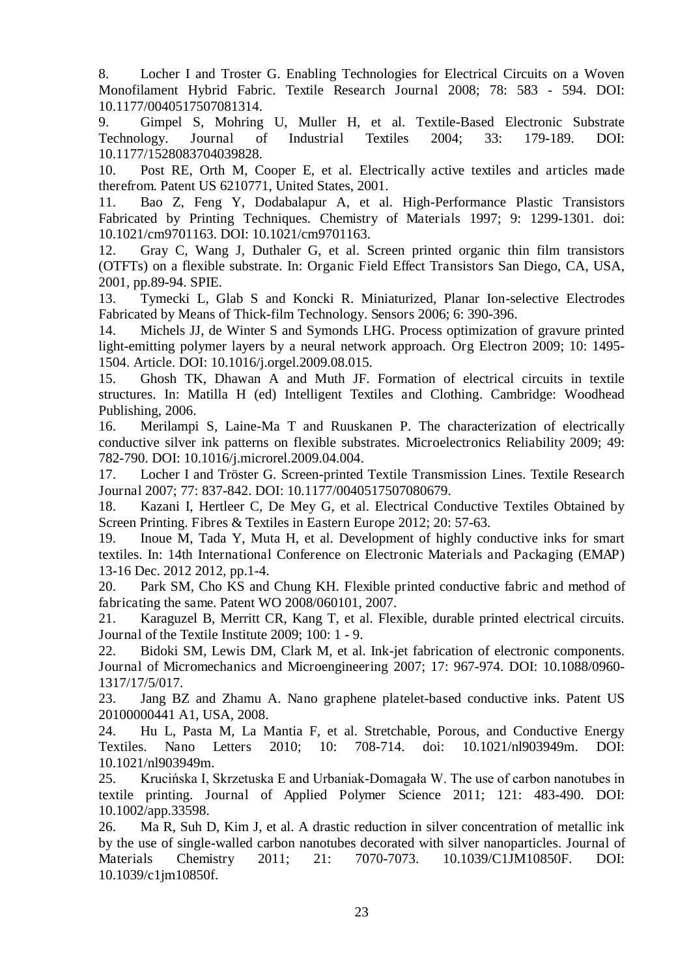8. Locher I and Troster G. Enabling Technologies for Electrical Circuits on a Woven Monofilament Hybrid Fabric. Textile Research Journal 2008; 78: 583 - 594. DOI: 10.1177/0040517507081314.

9. Gimpel S, Mohring U, Muller H, et al. Textile-Based Electronic Substrate Technology. Journal of Industrial Textiles 2004; 33: 179-189. DOI: 10.1177/1528083704039828.

10. Post RE, Orth M, Cooper E, et al. Electrically active textiles and articles made therefrom. Patent US 6210771, United States, 2001.

11. Bao Z, Feng Y, Dodabalapur A, et al. High-Performance Plastic Transistors Fabricated by Printing Techniques. Chemistry of Materials 1997; 9: 1299-1301. doi: 10.1021/cm9701163. DOI: 10.1021/cm9701163.

12. Gray C, Wang J, Duthaler G, et al. Screen printed organic thin film transistors (OTFTs) on a flexible substrate. In: Organic Field Effect Transistors San Diego, CA, USA, 2001, pp.89-94. SPIE.

13. Tymecki L, Glab S and Koncki R. Miniaturized, Planar Ion-selective Electrodes Fabricated by Means of Thick-film Technology. Sensors 2006; 6: 390-396.

14. Michels JJ, de Winter S and Symonds LHG. Process optimization of gravure printed light-emitting polymer layers by a neural network approach. Org Electron 2009; 10: 1495- 1504. Article. DOI: 10.1016/j.orgel.2009.08.015.

15. Ghosh TK, Dhawan A and Muth JF. Formation of electrical circuits in textile structures. In: Matilla H (ed) Intelligent Textiles and Clothing. Cambridge: Woodhead Publishing, 2006.

16. Merilampi S, Laine-Ma T and Ruuskanen P. The characterization of electrically conductive silver ink patterns on flexible substrates. Microelectronics Reliability 2009; 49: 782-790. DOI: 10.1016/j.microrel.2009.04.004.

17. Locher I and Tröster G. Screen-printed Textile Transmission Lines. Textile Research Journal 2007; 77: 837-842. DOI: 10.1177/0040517507080679.

18. Kazani I, Hertleer C, De Mey G, et al. Electrical Conductive Textiles Obtained by Screen Printing. Fibres & Textiles in Eastern Europe 2012; 20: 57-63.

19. Inoue M, Tada Y, Muta H, et al. Development of highly conductive inks for smart textiles. In: 14th International Conference on Electronic Materials and Packaging (EMAP) 13-16 Dec. 2012 2012, pp.1-4.

20. Park SM, Cho KS and Chung KH. Flexible printed conductive fabric and method of fabricating the same. Patent WO 2008/060101, 2007.

21. Karaguzel B, Merritt CR, Kang T, et al. Flexible, durable printed electrical circuits. Journal of the Textile Institute 2009; 100: 1 - 9.

22. Bidoki SM, Lewis DM, Clark M, et al. Ink-jet fabrication of electronic components. Journal of Micromechanics and Microengineering 2007; 17: 967-974. DOI: 10.1088/0960- 1317/17/5/017.

23. Jang BZ and Zhamu A. Nano graphene platelet-based conductive inks. Patent US 20100000441 A1, USA, 2008.

24. Hu L, Pasta M, La Mantia F, et al. Stretchable, Porous, and Conductive Energy Textiles. Nano Letters 2010; 10: 708-714. doi: 10.1021/nl903949m. DOI: 10.1021/nl903949m.

25. Krucińska I, Skrzetuska E and Urbaniak-Domagała W. The use of carbon nanotubes in textile printing. Journal of Applied Polymer Science 2011; 121: 483-490. DOI: 10.1002/app.33598.

26. Ma R, Suh D, Kim J, et al. A drastic reduction in silver concentration of metallic ink by the use of single-walled carbon nanotubes decorated with silver nanoparticles. Journal of Materials Chemistry 2011; 21: 7070-7073. 10.1039/C1JM10850F. DOI: 10.1039/c1jm10850f.